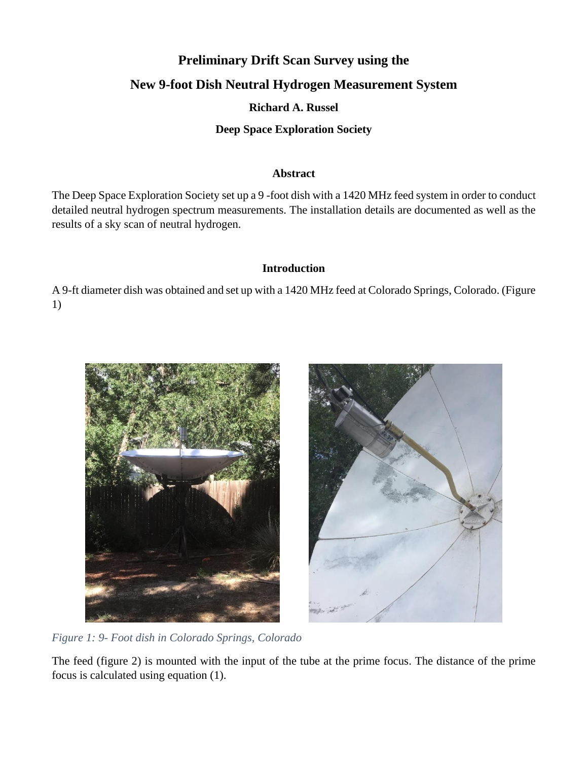# **Preliminary Drift Scan Survey using the New 9-foot Dish Neutral Hydrogen Measurement System**

# **Richard A. Russel**

# **Deep Space Exploration Society**

### **Abstract**

The Deep Space Exploration Society set up a 9 -foot dish with a 1420 MHz feed system in order to conduct detailed neutral hydrogen spectrum measurements. The installation details are documented as well as the results of a sky scan of neutral hydrogen.

### **Introduction**

A 9-ft diameter dish was obtained and set up with a 1420 MHz feed at Colorado Springs, Colorado. (Figure 1)



*Figure 1: 9- Foot dish in Colorado Springs, Colorado*

The feed (figure 2) is mounted with the input of the tube at the prime focus. The distance of the prime focus is calculated using equation (1).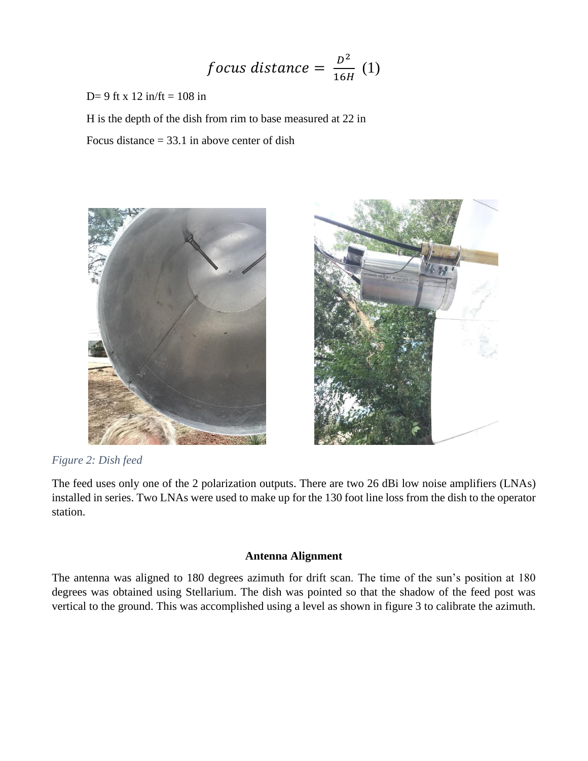$$
focus\ distance = \frac{D^2}{16H} (1)
$$

D= 9 ft x 12 in/ft = 108 in

H is the depth of the dish from rim to base measured at 22 in

Focus distance  $= 33.1$  in above center of dish



*Figure 2: Dish feed*



The feed uses only one of the 2 polarization outputs. There are two 26 dBi low noise amplifiers (LNAs) installed in series. Two LNAs were used to make up for the 130 foot line loss from the dish to the operator station.

### **Antenna Alignment**

The antenna was aligned to 180 degrees azimuth for drift scan. The time of the sun's position at 180 degrees was obtained using Stellarium. The dish was pointed so that the shadow of the feed post was vertical to the ground. This was accomplished using a level as shown in figure 3 to calibrate the azimuth.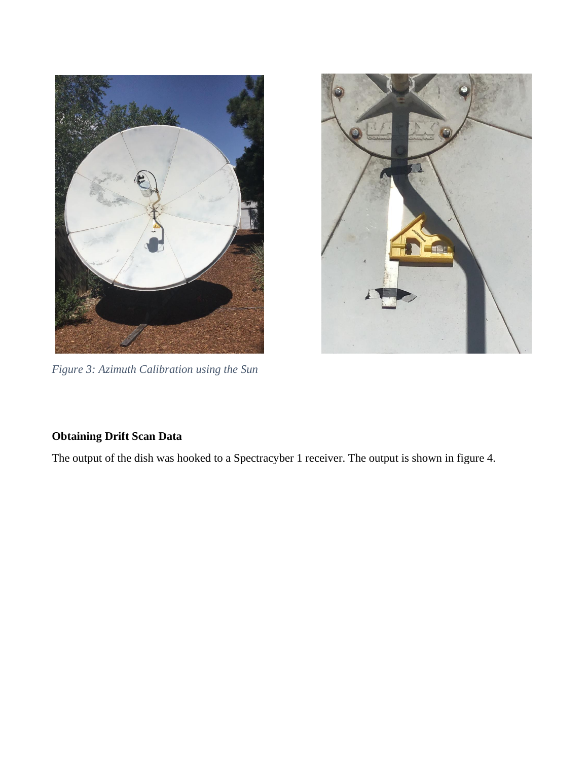

*Figure 3: Azimuth Calibration using the Sun*



# **Obtaining Drift Scan Data**

The output of the dish was hooked to a Spectracyber 1 receiver. The output is shown in figure 4.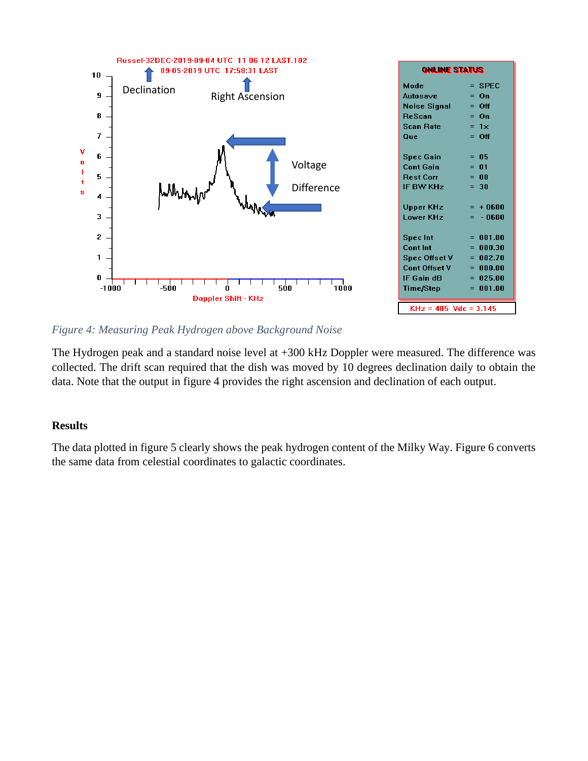

*Figure 4: Measuring Peak Hydrogen above Background Noise*

The Hydrogen peak and a standard noise level at +300 kHz Doppler were measured. The difference was collected. The drift scan required that the dish was moved by 10 degrees declination daily to obtain the data. Note that the output in figure 4 provides the right ascension and declination of each output.

## **Results**

The data plotted in figure 5 clearly shows the peak hydrogen content of the Milky Way. Figure 6 converts the same data from celestial coordinates to galactic coordinates.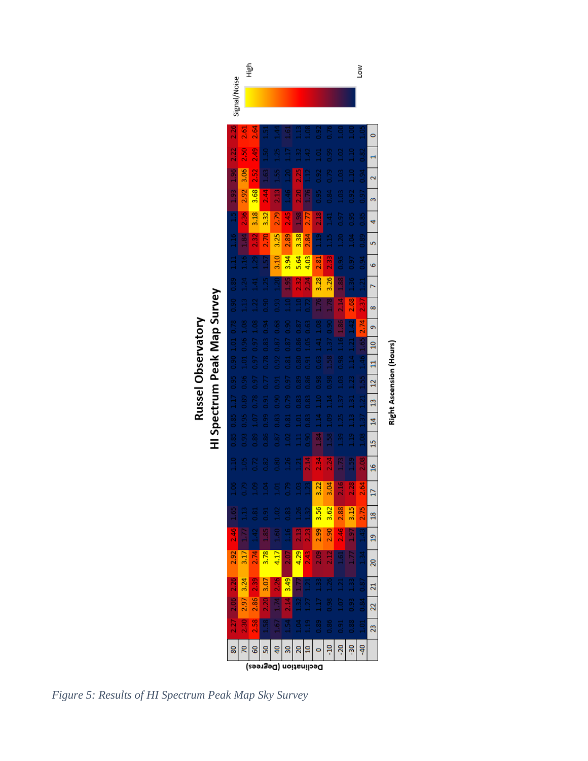



*Figure 5: Results of HI Spectrum Peak Map Sky Survey*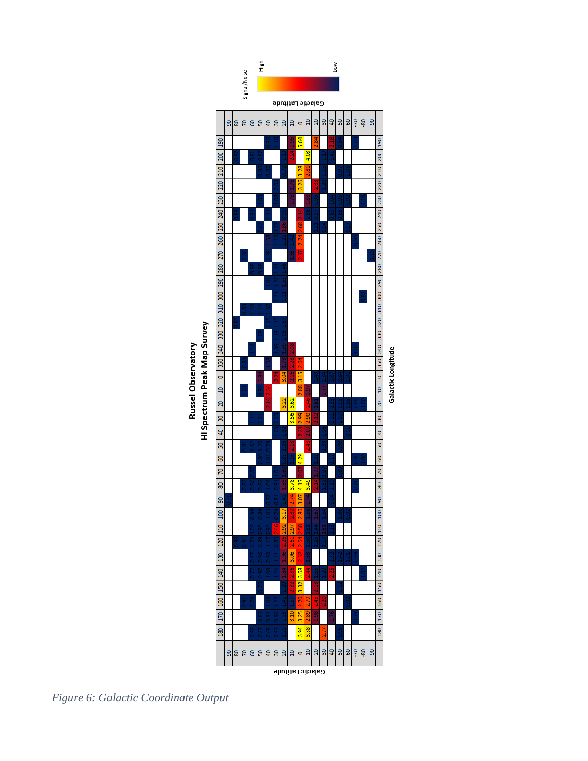

*Figure 6: Galactic Coordinate Output*